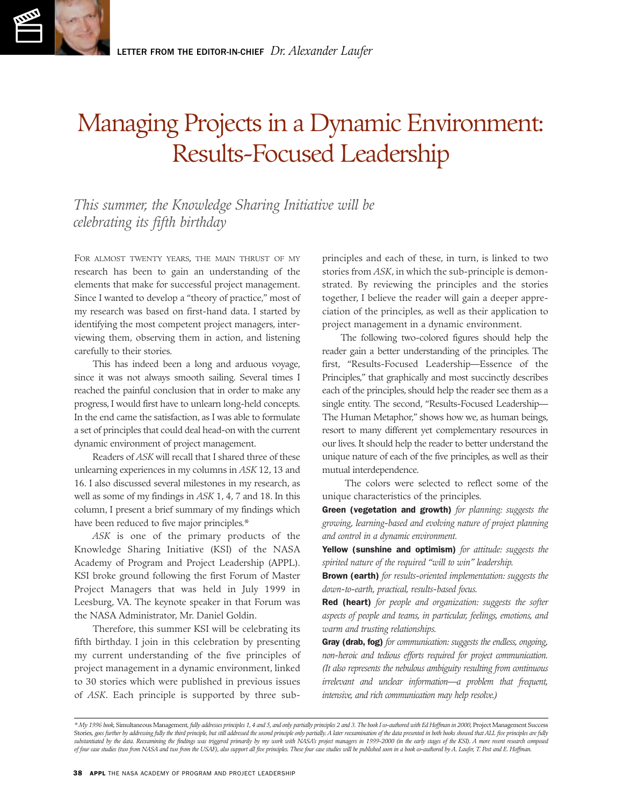# Managing Projects in a Dynamic Environment: Results-Focused Leadership

*This summer, the Knowledge Sharing Initiative will be celebrating its fifth birthday* 

FOR ALMOST TWENTY YEARS, THE MAIN THRUST OF MY research has been to gain an understanding of the elements that make for successful project management. Since I wanted to develop a "theory of practice," most of my research was based on first-hand data. I started by identifying the most competent project managers, interviewing them, observing them in action, and listening carefully to their stories.

This has indeed been a long and arduous voyage, since it was not always smooth sailing. Several times I reached the painful conclusion that in order to make any progress, I would first have to unlearn long-held concepts. In the end came the satisfaction, as I was able to formulate a set of principles that could deal head-on with the current dynamic environment of project management.

Readers of *ASK* will recall that I shared three of these unlearning experiences in my columns in *ASK* 12, 13 and 16. I also discussed several milestones in my research, as well as some of my findings in *ASK* 1, 4, 7 and 18. In this column, I present a brief summary of my findings which have been reduced to five major principles.\*

*ASK* is one of the primary products of the Knowledge Sharing Initiative (KSI) of the NASA Academy of Program and Project Leadership (APPL). KSI broke ground following the first Forum of Master Project Managers that was held in July 1999 in Leesburg, VA. The keynote speaker in that Forum was the NASA Administrator, Mr. Daniel Goldin.

Therefore, this summer KSI will be celebrating its fifth birthday. I join in this celebration by presenting my current understanding of the five principles of project management in a dynamic environment, linked to 30 stories which were published in previous issues of *ASK*. Each principle is supported by three subprinciples and each of these, in turn, is linked to two stories from *ASK*, in which the sub-principle is demonstrated. By reviewing the principles and the stories together, I believe the reader will gain a deeper appreciation of the principles, as well as their application to project management in a dynamic environment.

The following two-colored figures should help the reader gain a better understanding of the principles. The first, "Results-Focused Leadership—Essence of the Principles," that graphically and most succinctly describes each of the principles, should help the reader see them as a single entity. The second, "Results-Focused Leadership— The Human Metaphor," shows how we, as human beings, resort to many different yet complementary resources in our lives. It should help the reader to better understand the unique nature of each of the five principles, as well as their mutual interdependence.

The colors were selected to reflect some of the unique characteristics of the principles.

Green (vegetation and growth) *for planning: suggests the growing, learning-based and evolving nature of project planning and control in a dynamic environment.* 

Yellow (sunshine and optimism) *for attitude: suggests the spirited nature of the required "will to win" leadership.* 

Brown (earth) *for results-oriented implementation: suggests the down-to-earth, practical, results-based focus.* 

Red (heart) *for people and organization: suggests the softer aspects of people and teams, in particular, feelings, emotions, and warm and trusting relationships.* 

Gray (drab, fog) *for communication: suggests the endless, ongoing, non-heroic and tedious efforts required for project communication. (It also represents the nebulous ambiguity resulting from continuous irrelevant and unclear information—a problem that frequent, intensive, and rich communication may help resolve.)* 

*<sup>\*</sup> My 1996 book,* Simultaneous Management*, fully addresses principles 1, 4 and 5, and only partially principles 2 and 3. The book I co-authored with Ed Hoffman in 2000,* Project Management Success Stories, goes further by addressing fully the third principle, but still addressed the second principle only partially. A later reexamination of the data presented in both books showed that ALL five principles are fully substantiated by the data. Reexamining the findings was triggered primarily by my work with NASA's project managers in 1999-2000 (in the early stages of the KSI). A more recent research composed *of four case studies (two from NASA and two from the USAF), also support all five principles. These four case studies will be published soon in a book co-authored by A. Laufer, T. Post and E. Hoffman.*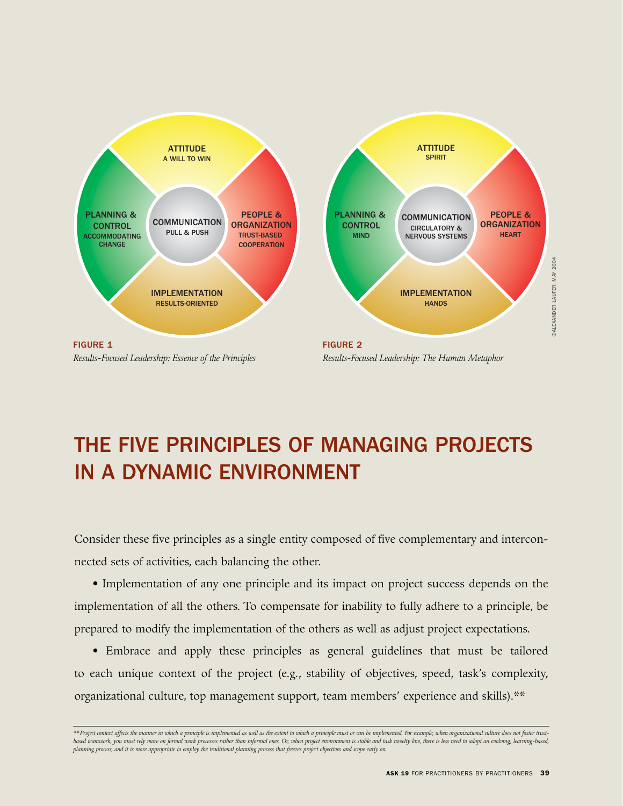

# THE FIVE PRINCIPLES OF MANAGING PROJECTS IN A DYNAMIC ENVIRONMENT

Consider these five principles as a single entity composed of five complementary and interconnected sets of activities, each balancing the other.

• Implementation of any one principle and its impact on project success depends on the implementation of all the others. To compensate for inability to fully adhere to a principle, be prepared to modify the implementation of the others as well as adjust project expectations.

• Embrace and apply these principles as general guidelines that must be tailored to each unique context of the project (e.g., stability of objectives, speed, task's complexity, organizational culture, top management support, team members' experience and skills).\*\*

*<sup>\*\*</sup>Project context affects the manner in which a principle is implemented as well as the extent to which a principle must or can be implemented. For example, when organizational culture does not foster trust*based teamwork, you must rely more on formal work processes rather than informal ones. Or, when project environment is stable and task novelty low, there is less need to adopt an evolving, learning-based, *planning process, and it is more appropriate to employ the traditional planning process that freezes project objectives and scope early on.*